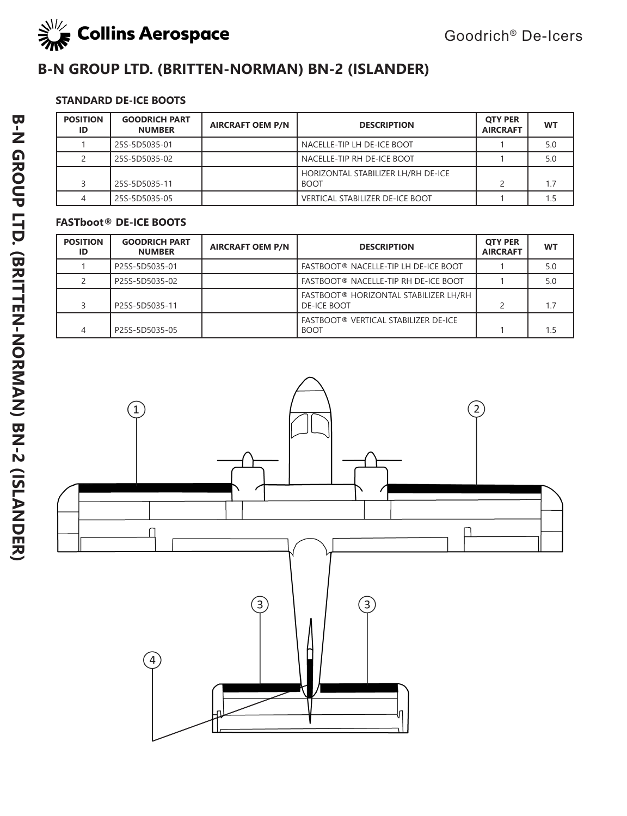

# **B-N GROUP LTD. (BRITTEN-NORMAN) BN-2 (ISLANDER)**

## **STANDARD DE-ICE BOOTS**

| <b>POSITION</b><br>ID | <b>GOODRICH PART</b><br><b>NUMBER</b> | <b>AIRCRAFT OEM P/N</b> | <b>DESCRIPTION</b>                                | <b>OTY PER</b><br><b>AIRCRAFT</b> | <b>WT</b> |
|-----------------------|---------------------------------------|-------------------------|---------------------------------------------------|-----------------------------------|-----------|
|                       | 25S-5D5035-01                         |                         | NACELLE-TIP LH DE-ICE BOOT                        |                                   | 5.0       |
|                       | 25S-5D5035-02                         |                         | NACELLE-TIP RH DE-ICE BOOT                        |                                   | 5.0       |
|                       | 25S-5D5035-11                         |                         | HORIZONTAL STABILIZER LH/RH DE-ICE<br><b>BOOT</b> |                                   | 1.7       |
| 4                     | 25S-5D5035-05                         |                         | <b>VERTICAL STABILIZER DE-ICE BOOT</b>            |                                   |           |

| <b>POSITION</b><br>ID | <b>GOODRICH PART</b><br><b>NUMBER</b> | <b>AIRCRAFT OEM P/N</b> | <b>DESCRIPTION</b>                                          | <b>OTY PER</b><br><b>AIRCRAFT</b> | <b>WT</b> |
|-----------------------|---------------------------------------|-------------------------|-------------------------------------------------------------|-----------------------------------|-----------|
|                       | P25S-5D5035-01                        |                         | FASTBOOT® NACELLE-TIP LH DE-ICE BOOT                        |                                   | 5.0       |
|                       | P25S-5D5035-02                        |                         | FASTBOOT® NACELLE-TIP RH DE-ICE BOOT                        |                                   | 5.0       |
|                       | P25S-5D5035-11                        |                         | FASTBOOT® HORIZONTAL STABILIZER LH/RH<br><b>DE-ICE BOOT</b> |                                   | 1.7       |
| 4                     | P25S-5D5035-05                        |                         | FASTBOOT® VERTICAL STABILIZER DE-ICE<br><b>BOOT</b>         |                                   | 1.5       |

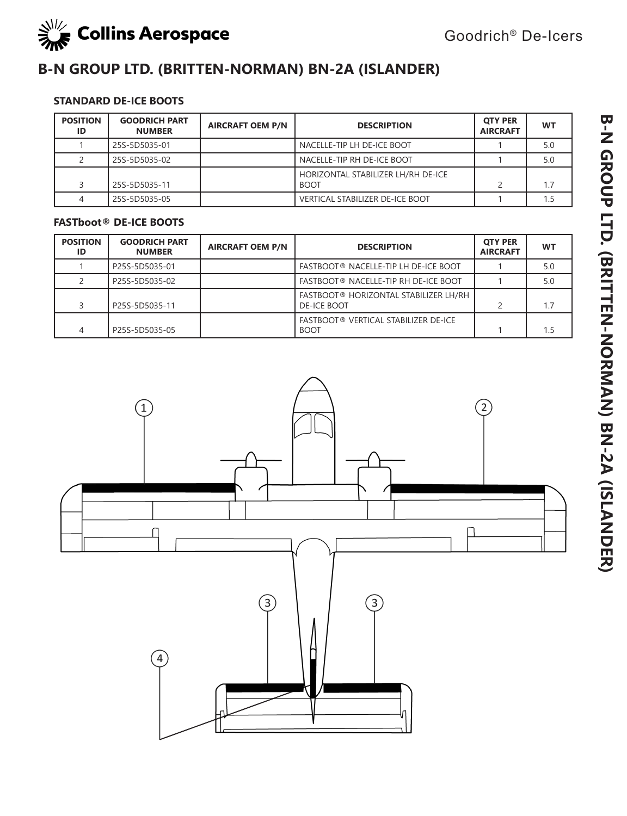

# **B-N GROUP LTD. (BRITTEN-NORMAN) BN-2A (ISLANDER)**

### **STANDARD DE-ICE BOOTS**

| <b>POSITION</b><br>ID | <b>GOODRICH PART</b><br><b>NUMBER</b> | <b>AIRCRAFT OEM P/N</b> | <b>DESCRIPTION</b>                                | <b>OTY PER</b><br><b>AIRCRAFT</b> | <b>WT</b> |
|-----------------------|---------------------------------------|-------------------------|---------------------------------------------------|-----------------------------------|-----------|
|                       | 25S-5D5035-01                         |                         | NACELLE-TIP LH DE-ICE BOOT                        |                                   | 5.0       |
|                       | 25S-5D5035-02                         |                         | NACELLE-TIP RH DE-ICE BOOT                        |                                   | 5.0       |
|                       | 25S-5D5035-11                         |                         | HORIZONTAL STABILIZER LH/RH DE-ICE<br><b>BOOT</b> |                                   |           |
|                       | 25S-5D5035-05                         |                         | <b>VERTICAL STABILIZER DE-ICE BOOT</b>            |                                   |           |

| <b>POSITION</b><br>ID | <b>GOODRICH PART</b><br><b>NUMBER</b> | <b>AIRCRAFT OEM P/N</b> | <b>DESCRIPTION</b>                                   | <b>OTY PER</b><br><b>AIRCRAFT</b> | WT  |
|-----------------------|---------------------------------------|-------------------------|------------------------------------------------------|-----------------------------------|-----|
|                       | P25S-5D5035-01                        |                         | FASTBOOT® NACELLE-TIP LH DE-ICE BOOT                 |                                   | 5.0 |
|                       | P25S-5D5035-02                        |                         | FASTBOOT® NACELLE-TIP RH DE-ICE BOOT                 |                                   | 5.0 |
|                       | P25S-5D5035-11                        |                         | FASTBOOT® HORIZONTAL STABILIZER LH/RH<br>DE-ICE BOOT |                                   | 1.7 |
|                       | P25S-5D5035-05                        |                         | FASTBOOT® VERTICAL STABILIZER DE-ICE<br><b>BOOT</b>  |                                   | 1.5 |

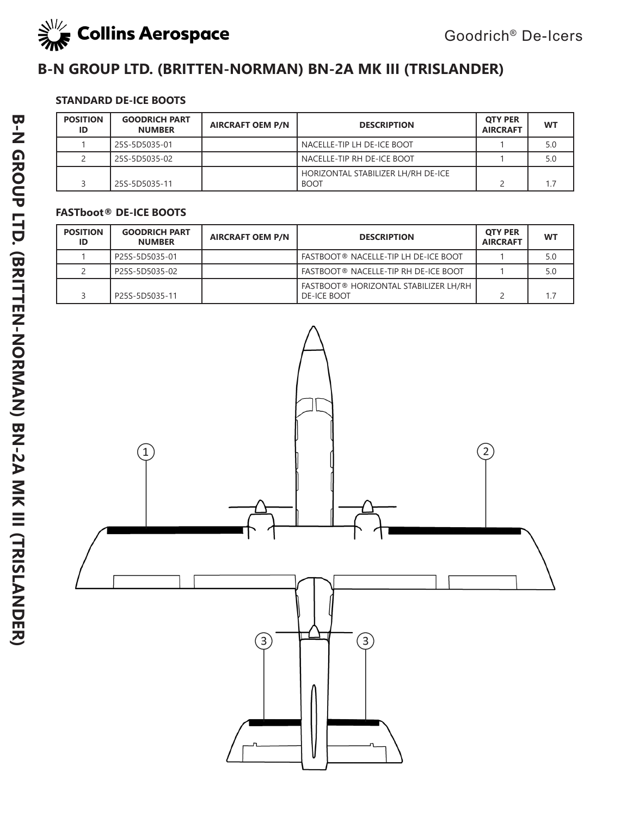

# **B-N GROUP LTD. (BRITTEN-NORMAN) BN-2A MK III (TRISLANDER)**

### **STANDARD DE-ICE BOOTS**

| <b>POSITION</b><br>ID | <b>GOODRICH PART</b><br><b>NUMBER</b> | <b>AIRCRAFT OEM P/N</b> | <b>DESCRIPTION</b>                                | <b>OTY PER</b><br><b>AIRCRAFT</b> | WT  |
|-----------------------|---------------------------------------|-------------------------|---------------------------------------------------|-----------------------------------|-----|
|                       | 25S-5D5035-01                         |                         | NACELLE-TIP LH DE-ICE BOOT                        |                                   | 5.0 |
|                       | 25S-5D5035-02                         |                         | NACELLE-TIP RH DE-ICE BOOT                        |                                   | 5.0 |
|                       | 25S-5D5035-11                         |                         | HORIZONTAL STABILIZER LH/RH DE-ICE<br><b>BOOT</b> |                                   | 1.7 |

| <b>POSITION</b><br>ID | <b>GOODRICH PART</b><br><b>NUMBER</b> | <b>AIRCRAFT OEM P/N</b> | <b>DESCRIPTION</b>                                          | <b>OTY PER</b><br><b>AIRCRAFT</b> | <b>WT</b> |
|-----------------------|---------------------------------------|-------------------------|-------------------------------------------------------------|-----------------------------------|-----------|
|                       | P25S-5D5035-01                        |                         | <b>FASTBOOT® NACELLE-TIP LH DE-ICE BOOT</b>                 |                                   | 5.0       |
|                       | P25S-5D5035-02                        |                         | <b>FASTBOOT® NACELLE-TIP RH DE-ICE BOOT</b>                 |                                   | 5.0       |
|                       | P25S-5D5035-11                        |                         | FASTBOOT® HORIZONTAL STABILIZER LH/RH<br><b>DE-ICE BOOT</b> |                                   |           |

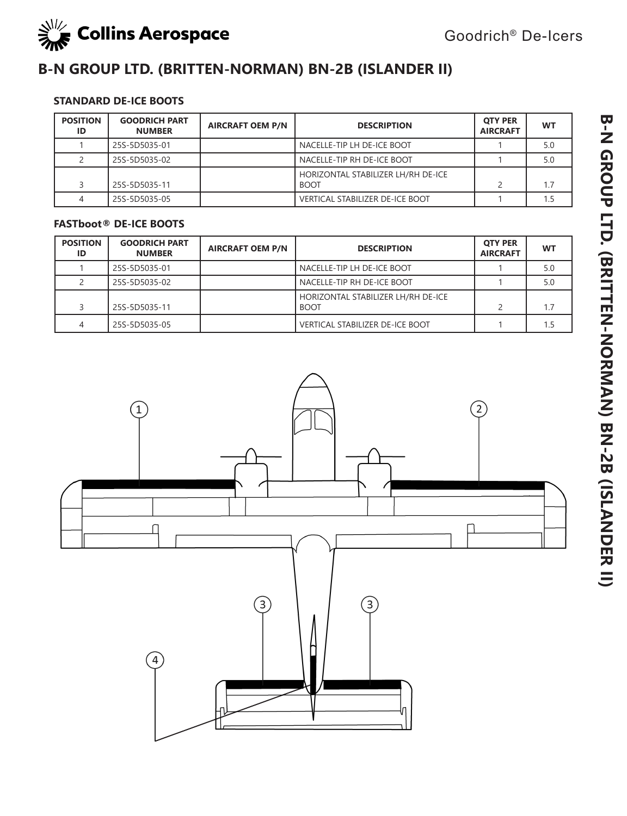

# **B-N GROUP LTD. (BRITTEN-NORMAN) BN-2B (ISLANDER II)**

## **STANDARD DE-ICE BOOTS**

| <b>POSITION</b><br>ID | <b>GOODRICH PART</b><br><b>NUMBER</b> | <b>AIRCRAFT OEM P/N</b> | <b>DESCRIPTION</b>                                | <b>OTY PER</b><br><b>AIRCRAFT</b> | <b>WT</b> |
|-----------------------|---------------------------------------|-------------------------|---------------------------------------------------|-----------------------------------|-----------|
|                       | 25S-5D5035-01                         |                         | NACELLE-TIP LH DE-ICE BOOT                        |                                   | 5.0       |
|                       | 25S-5D5035-02                         |                         | NACELLE-TIP RH DE-ICE BOOT                        |                                   | 5.0       |
|                       | 25S-5D5035-11                         |                         | HORIZONTAL STABILIZER LH/RH DE-ICE<br><b>BOOT</b> |                                   |           |
|                       | 25S-5D5035-05                         |                         | <b>VERTICAL STABILIZER DE-ICE BOOT</b>            |                                   |           |

| <b>POSITION</b><br>ID | <b>GOODRICH PART</b><br><b>NUMBER</b> | <b>AIRCRAFT OEM P/N</b> | <b>DESCRIPTION</b>                                | <b>OTY PER</b><br><b>AIRCRAFT</b> | <b>WT</b> |
|-----------------------|---------------------------------------|-------------------------|---------------------------------------------------|-----------------------------------|-----------|
|                       | 25S-5D5035-01                         |                         | NACELLE-TIP LH DE-ICE BOOT                        |                                   | 5.0       |
|                       | 25S-5D5035-02                         |                         | NACELLE-TIP RH DE-ICE BOOT                        |                                   | 5.0       |
|                       | 25S-5D5035-11                         |                         | HORIZONTAL STABILIZER LH/RH DE-ICE<br><b>BOOT</b> |                                   | 1.7       |
|                       | 25S-5D5035-05                         |                         | <b>VERTICAL STABILIZER DE-ICE BOOT</b>            |                                   | 1.5       |

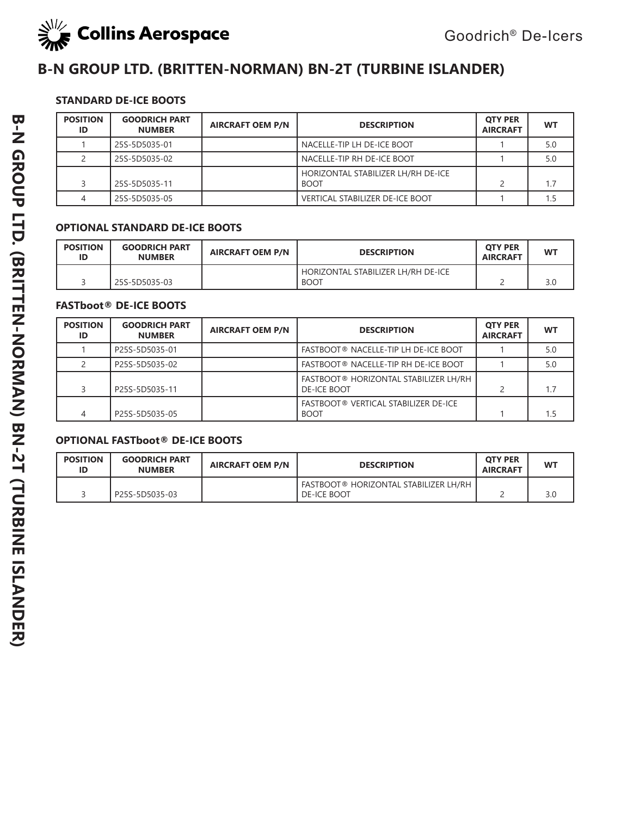

# **B-N GROUP LTD. (BRITTEN-NORMAN) BN-2T (TURBINE ISLANDER)**

### **STANDARD DE-ICE BOOTS**

| <b>POSITION</b><br>ID | <b>GOODRICH PART</b><br><b>NUMBER</b> | <b>AIRCRAFT OEM P/N</b> | <b>DESCRIPTION</b>                                | <b>OTY PER</b><br><b>AIRCRAFT</b> | <b>WT</b> |
|-----------------------|---------------------------------------|-------------------------|---------------------------------------------------|-----------------------------------|-----------|
|                       | 25S-5D5035-01                         |                         | NACELLE-TIP LH DE-ICE BOOT                        |                                   | 5.0       |
|                       | 25S-5D5035-02                         |                         | NACELLE-TIP RH DE-ICE BOOT                        |                                   | 5.0       |
|                       | 25S-5D5035-11                         |                         | HORIZONTAL STABILIZER LH/RH DE-ICE<br><b>BOOT</b> |                                   | 1.7       |
|                       | 25S-5D5035-05                         |                         | <b>VERTICAL STABILIZER DE-ICE BOOT</b>            |                                   |           |

#### **OPTIONAL STANDARD DE-ICE BOOTS**

| <b>POSITION</b><br>ID | <b>GOODRICH PART</b><br><b>NUMBER</b> | <b>AIRCRAFT OEM P/N</b> | <b>DESCRIPTION</b>                                | <b>OTY PER</b><br><b>AIRCRAFT</b> | <b>WT</b> |
|-----------------------|---------------------------------------|-------------------------|---------------------------------------------------|-----------------------------------|-----------|
|                       | 25S-5D5035-03                         |                         | HORIZONTAL STABILIZER LH/RH DE-ICE<br><b>BOOT</b> |                                   | 3.0       |

#### **FASTboot® DE-ICE BOOTS**

| <b>POSITION</b><br>ID | <b>GOODRICH PART</b><br><b>NUMBER</b> | <b>AIRCRAFT OEM P/N</b> | <b>DESCRIPTION</b>                                          | <b>OTY PER</b><br><b>AIRCRAFT</b> | <b>WT</b> |
|-----------------------|---------------------------------------|-------------------------|-------------------------------------------------------------|-----------------------------------|-----------|
|                       | P25S-5D5035-01                        |                         | FASTBOOT® NACELLE-TIP LH DE-ICE BOOT                        |                                   | 5.0       |
|                       | P25S-5D5035-02                        |                         | FASTBOOT® NACELLE-TIP RH DE-ICE BOOT                        |                                   | 5.0       |
|                       | P25S-5D5035-11                        |                         | FASTBOOT® HORIZONTAL STABILIZER LH/RH<br><b>DE-ICE BOOT</b> |                                   | 1.7       |
|                       | P25S-5D5035-05                        |                         | FASTBOOT® VERTICAL STABILIZER DE-ICE<br><b>BOOT</b>         |                                   | 1.5       |

#### **OPTIONAL FASTboot® DE-ICE BOOTS**

| <b>POSITION</b><br>ID | <b>GOODRICH PART</b><br><b>NUMBER</b> | <b>AIRCRAFT OEM P/N</b> | <b>DESCRIPTION</b>                                          | <b>OTY PER</b><br><b>AIRCRAFT</b> | WT  |
|-----------------------|---------------------------------------|-------------------------|-------------------------------------------------------------|-----------------------------------|-----|
|                       | P25S-5D5035-03                        |                         | FASTBOOT® HORIZONTAL STABILIZER LH/RH<br><b>DE-ICE BOOT</b> |                                   | 3.0 |